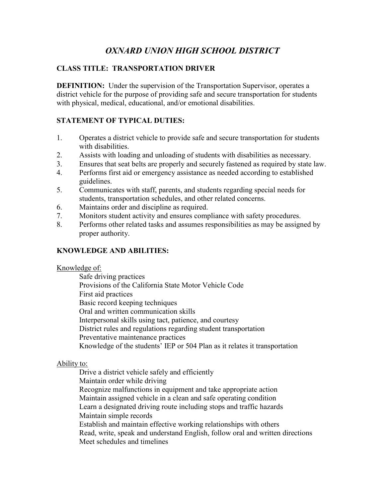# *OXNARD UNION HIGH SCHOOL DISTRICT*

# **CLASS TITLE: TRANSPORTATION DRIVER**

**DEFINITION:** Under the supervision of the Transportation Supervisor, operates a district vehicle for the purpose of providing safe and secure transportation for students with physical, medical, educational, and/or emotional disabilities.

# **STATEMENT OF TYPICAL DUTIES:**

- 1. Operates a district vehicle to provide safe and secure transportation for students with disabilities.
- 2. Assists with loading and unloading of students with disabilities as necessary.
- 3. Ensures that seat belts are properly and securely fastened as required by state law.
- 4. Performs first aid or emergency assistance as needed according to established guidelines.
- 5. Communicates with staff, parents, and students regarding special needs for students, transportation schedules, and other related concerns.
- 6. Maintains order and discipline as required.
- 7. Monitors student activity and ensures compliance with safety procedures.
- 8. Performs other related tasks and assumes responsibilities as may be assigned by proper authority.

## **KNOWLEDGE AND ABILITIES:**

#### Knowledge of:

Safe driving practices Provisions of the California State Motor Vehicle Code First aid practices Basic record keeping techniques Oral and written communication skills Interpersonal skills using tact, patience, and courtesy District rules and regulations regarding student transportation Preventative maintenance practices Knowledge of the students' IEP or 504 Plan as it relates it transportation

## Ability to:

Drive a district vehicle safely and efficiently Maintain order while driving Recognize malfunctions in equipment and take appropriate action Maintain assigned vehicle in a clean and safe operating condition Learn a designated driving route including stops and traffic hazards Maintain simple records Establish and maintain effective working relationships with others Read, write, speak and understand English, follow oral and written directions Meet schedules and timelines